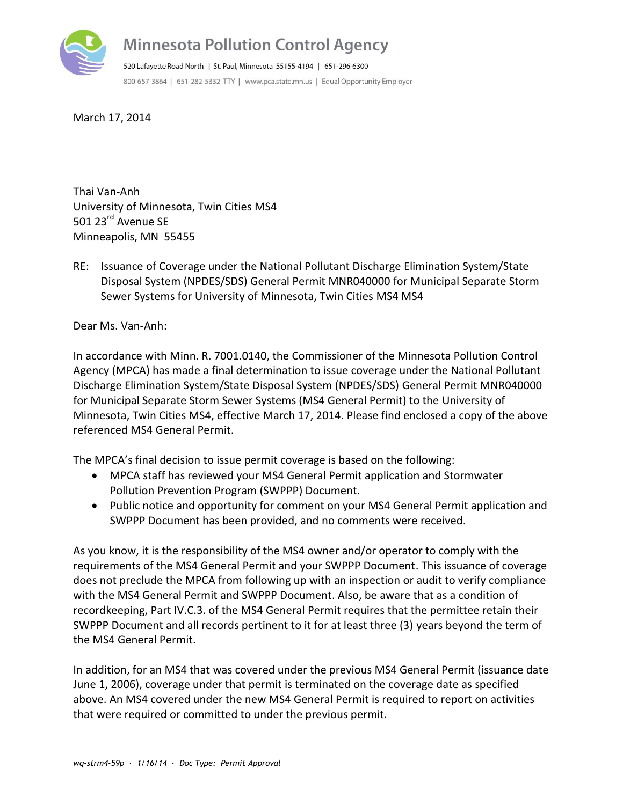

March 17, 2014

Thai Van-Anh University of Minnesota, Twin Cities MS4 501 23<sup>rd</sup> Avenue SE Minneapolis, MN 55455

RE: Issuance of Coverage under the National Pollutant Discharge Elimination System/State Disposal System (NPDES/SDS) General Permit MNR040000 for Municipal Separate Storm Sewer Systems for University of Minnesota, Twin Cities MS4 MS4

Dear Ms. Van-Anh:

In accordance with Minn. R. 7001.0140, the Commissioner of the Minnesota Pollution Control Agency (MPCA) has made a final determination to issue coverage under the National Pollutant Discharge Elimination System/State Disposal System (NPDES/SDS) General Permit MNR040000 for Municipal Separate Storm Sewer Systems (MS4 General Permit) to the University of Minnesota, Twin Cities MS4, effective March 17, 2014. Please find enclosed a copy of the above referenced MS4 General Permit.

The MPCA's final decision to issue permit coverage is based on the following:

- MPCA staff has reviewed your MS4 General Permit application and Stormwater Pollution Prevention Program (SWPPP) Document.
- Public notice and opportunity for comment on your MS4 General Permit application and SWPPP Document has been provided, and no comments were received.

As you know, it is the responsibility of the MS4 owner and/or operator to comply with the requirements of the MS4 General Permit and your SWPPP Document. This issuance of coverage does not preclude the MPCA from following up with an inspection or audit to verify compliance with the MS4 General Permit and SWPPP Document. Also, be aware that as a condition of recordkeeping, Part IV.C.3. of the MS4 General Permit requires that the permittee retain their SWPPP Document and all records pertinent to it for at least three (3) years beyond the term of the MS4 General Permit.

In addition, for an MS4 that was covered under the previous MS4 General Permit (issuance date June 1, 2006), coverage under that permit is terminated on the coverage date as specified above. An MS4 covered under the new MS4 General Permit is required to report on activities that were required or committed to under the previous permit.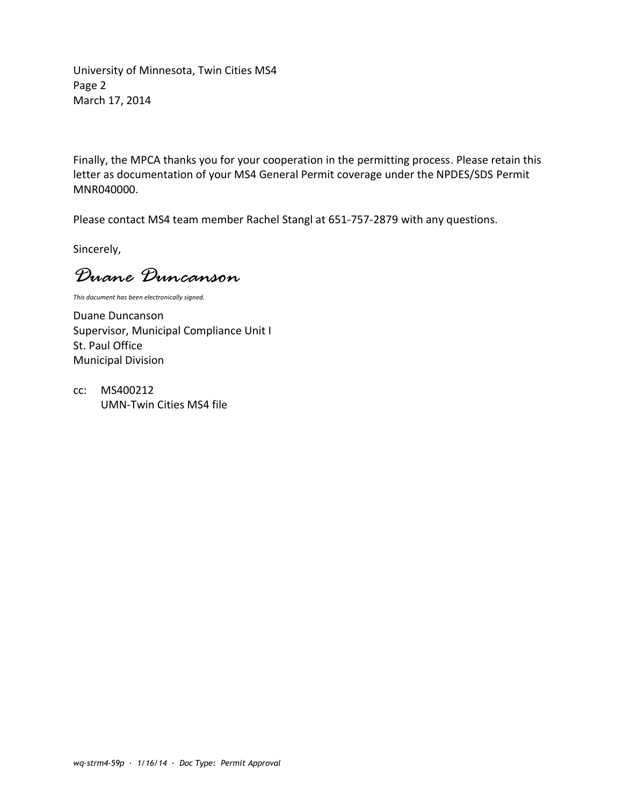University of Minnesota, Twin Cities MS4 Page 2 March 17, 2014

Finally, the MPCA thanks you for your cooperation in the permitting process. Please retain this letter as documentation of your MS4 General Permit coverage under the NPDES/SDS Permit MNR040000.

Please contact MS4 team member Rachel Stangl at 651-757-2879 with any questions.

Sincerely,

*Duane Duncanson*

*This document has been electronically signed.*

Duane Duncanson Supervisor, Municipal Compliance Unit I St. Paul Office Municipal Division

cc: MS400212 UMN-Twin Cities MS4 file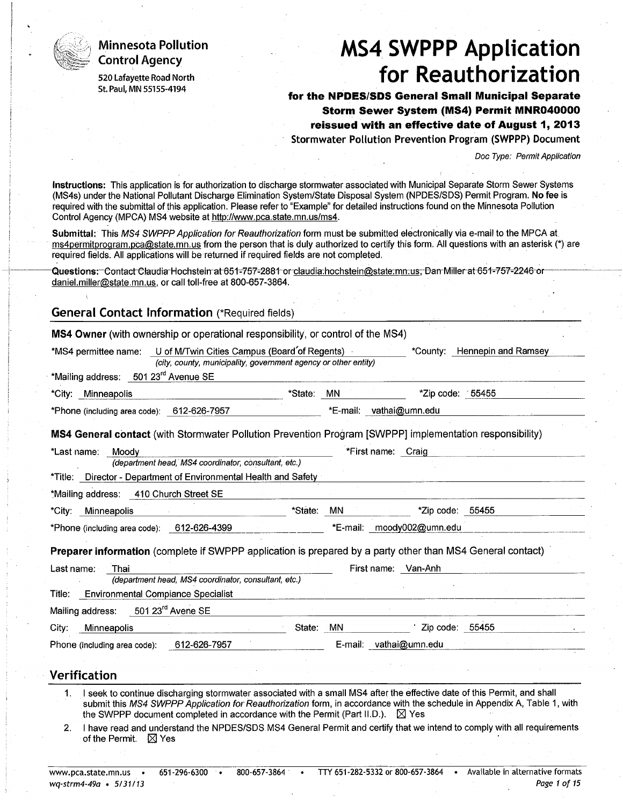## **Minnesota Pollution Control Agency**

520 Lafayette Road North St. Paul, MN 55155-4194

# **MS4 SWPPP Application** for Reauthorization

for the NPDES/SDS General Small Municipal Separate Storm Sewer System (MS4) Permit MNR040000 reissued with an effective date of August 1, 2013 Stormwater Pollution Prevention Program (SWPPP) Document

Doc Type: Permit Application

Instructions: This application is for authorization to discharge stormwater associated with Municipal Separate Storm Sewer Systems (MS4s) under the National Pollutant Discharge Elimination System/State Disposal System (NPDES/SDS) Permit Program. No fee is required with the submittal of this application. Please refer to "Example" for detailed instructions found on the Minnesota Pollution Control Agency (MPCA) MS4 website at http://www.pca.state.mn.us/ms4.

Submittal: This MS4 SWPPP Application for Reauthorization form must be submitted electronically via e-mail to the MPCA at ms4permitprogram.pca@state.mn.us from the person that is duly authorized to certify this form. All questions with an asterisk (\*) are required fields. All applications will be returned if required fields are not completed.

Questions: Contact Claudia Hochstein at 651-757-2881 or claudia:hochstein@state.mn.us, Dan Miller at 651-757-2246 or daniel.miller@state.mn.us, or call toll-free at 800-657-3864.

## **General Contact Information (\*Required fields)**

MS4 Owner (with ownership or operational responsibility, or control of the MS4)

| *MS4 permittee name:                             | U of M/Twin Cities Campus (Board of Regents)<br>(city, county, municipality, government agency or other entity)          |                         |                    |                           | "County: Hennepin and Ramsey |  |
|--------------------------------------------------|--------------------------------------------------------------------------------------------------------------------------|-------------------------|--------------------|---------------------------|------------------------------|--|
| *Mailing address: 501 23 <sup>rd</sup> Avenue SE |                                                                                                                          |                         |                    |                           |                              |  |
| *City: Minneapolis                               | *State: MN                                                                                                               |                         |                    | *Zip code: 55455          |                              |  |
| *Phone (including area code): 612-626-7957       |                                                                                                                          | *E-mail: vathai@umn.edu |                    |                           |                              |  |
|                                                  | MS4 General contact (with Stormwater Pollution Prevention Program [SWPPP] implementation responsibility)                 |                         |                    |                           |                              |  |
| *Last name: Moody                                |                                                                                                                          |                         | *First name: Craig |                           |                              |  |
|                                                  | (department head, MS4 coordinator, consultant, etc.)                                                                     |                         |                    |                           |                              |  |
|                                                  | *Title: Director - Department of Environmental Health and Safety                                                         |                         |                    |                           |                              |  |
| *Mailing address: 410 Church Street SE           |                                                                                                                          |                         |                    |                           |                              |  |
| *City: Minneapolis                               | *State: MN                                                                                                               |                         |                    | *Zip code: 55455          |                              |  |
| *Phone (including area code): 612-626-4399       |                                                                                                                          |                         |                    | *E-mail: moody002@umn.edu |                              |  |
|                                                  | Preparer information (complete if SWPPP application is prepared by a party other than MS4 General contact)               |                         |                    |                           |                              |  |
| Last name:<br>Thai                               |                                                                                                                          |                         |                    | First name: Van-Anh       |                              |  |
|                                                  | (department head, MS4 coordinator, consultant, etc.)                                                                     |                         |                    |                           |                              |  |
| Title: Environmental Compiance Specialist        |                                                                                                                          |                         |                    |                           |                              |  |
| Mailing address: 501 23 <sup>rd</sup> Avene SE   |                                                                                                                          |                         |                    |                           |                              |  |
| Minneapolis<br>City:                             | <b>Carl Corporation</b>                                                                                                  | State: MN               |                    | Zip code: 55455           |                              |  |
| Phone (including area code): 612-626-7957        |                                                                                                                          |                         |                    | E-mail: vathai@umn.edu    |                              |  |
|                                                  |                                                                                                                          |                         |                    |                           |                              |  |
| <b>Verification</b>                              |                                                                                                                          |                         |                    |                           |                              |  |
| 1.                                               | I seek to continue discharging stormwater associated with a small MS4 after the effective date of this Permit, and shall |                         |                    |                           |                              |  |
|                                                  | submit this MS4 SWPPP Application for Reauthorization form, in accordance with the schedule in Appendix A, Table 1, with |                         |                    |                           |                              |  |

- the SWPPP document completed in accordance with the Permit (Part II.D.).  $\boxtimes$  Yes
- I have read and understand the NPDES/SDS MS4 General Permit and certify that we intend to comply with all requirements  $2.$ of the Permit.  $\boxtimes$  Yes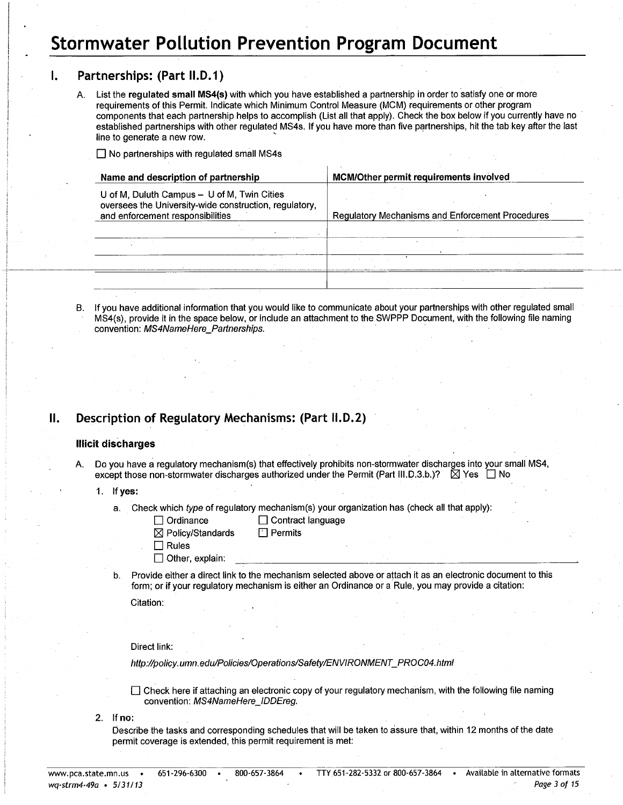## **Stormwater Pollution Prevention Program Document**

#### Partnerships: (Part II.D.1) Ι.

List the regulated small MS4(s) with which you have established a partnership in order to satisfy one or more  $\mathbf{A}$ requirements of this Permit. Indicate which Minimum Control Measure (MCM) requirements or other program components that each partnership helps to accomplish (List all that apply). Check the box below if you currently have no established partnerships with other regulated MS4s. If you have more than five partnerships, hit the tab key after the last line to generate a new row.

 $\Box$  No partnerships with regulated small MS4s

| Name and description of partnership |                                                                                                                                           | MCM/Other permit requirements involved                  |  |  |  |  |  |
|-------------------------------------|-------------------------------------------------------------------------------------------------------------------------------------------|---------------------------------------------------------|--|--|--|--|--|
|                                     | U of M, Duluth Campus - U of M, Twin Cities<br>oversees the University-wide construction, regulatory,<br>and enforcement responsibilities | <b>Regulatory Mechanisms and Enforcement Procedures</b> |  |  |  |  |  |
|                                     |                                                                                                                                           |                                                         |  |  |  |  |  |
|                                     |                                                                                                                                           |                                                         |  |  |  |  |  |
|                                     |                                                                                                                                           |                                                         |  |  |  |  |  |
|                                     |                                                                                                                                           |                                                         |  |  |  |  |  |
|                                     |                                                                                                                                           |                                                         |  |  |  |  |  |

B. If you have additional information that you would like to communicate about your partnerships with other regulated small MS4(s), provide it in the space below, or include an attachment to the SWPPP Document, with the following file naming convention: MS4NameHere\_Partnerships.

#### Description of Regulatory Mechanisms: (Part II.D.2) Н.

## **Illicit discharges**

- Do you have a regulatory mechanism(s) that effectively prohibits non-stormwater discharges into your small MS4, except those non-stormwater discharges authorized under the Permit (Part III.D.3.b.)? ⊠ Yes □ No
	- $1<sub>1</sub>$ If yes:
		- Check which type of regulatory mechanism(s) your organization has (check all that apply):  $a<sub>1</sub>$

| $\Box$ Ordinance          |
|---------------------------|
| <b>NA Daller (Ctopedo</b> |

□ Contract language

 $\Box$  Permits

- ⊠ Policy/Standards
- $\Box$  Rules
- $\Box$  Other, explain:
- Provide either a direct link to the mechanism selected above or attach it as an electronic document to this  $\mathbf b$ . form; or if your regulatory mechanism is either an Ordinance or a Rule, you may provide a citation:

Citation:

Direct link:

http://policy.umn.edu/Policies/Operations/Safety/ENVIRONMENT\_PROC04.html

□ Check here if attaching an electronic copy of your regulatory mechanism, with the following file naming convention: MS4NameHere IDDEreg.

 $2.$  If no:

Describe the tasks and corresponding schedules that will be taken to assure that, within 12 months of the date permit coverage is extended, this permit requirement is met: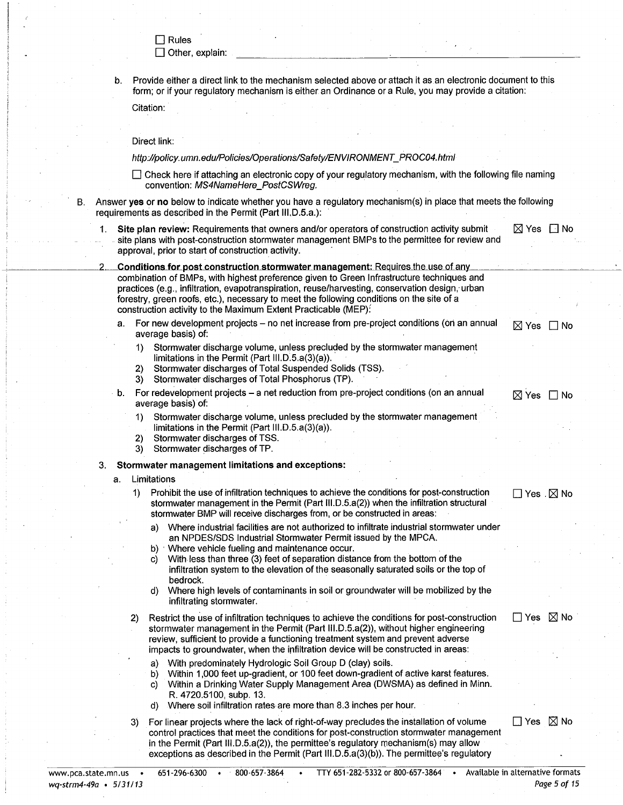$\Box$  Rules

 $\Box$  Other, explain:

Provide either a direct link to the mechanism selected above or attach it as an electronic document to this form; or if your regulatory mechanism is either an Ordinance or a Rule, you may provide a citation:

Citation:

#### Direct link:

В.

http://policy.umn.edu/Policies/Operations/Safety/ENVIRONMENT\_PROC04.html

| $\Box$ Check here if attaching an electronic copy of your regulatory mechanism, with the following file naming |  |  |
|----------------------------------------------------------------------------------------------------------------|--|--|
| convention: MS4NameHere PostCSWreg.                                                                            |  |  |

Answer yes or no below to indicate whether you have a regulatory mechanism(s) in place that meets the following requirements as described in the Permit (Part III, D.5.a.):

| Site plan review: Requirements that owners and/or operators of construction activity submit                                                        | $\boxtimes$ Yes $\Box$ No |  |
|----------------------------------------------------------------------------------------------------------------------------------------------------|---------------------------|--|
| site plans with post-construction stormwater management BMPs to the permittee for review and<br>approval, prior to start of construction activity. |                           |  |
|                                                                                                                                                    |                           |  |

Conditions for post construction stormwater management: Requires the use of any combination of BMPs, with highest preference given to Green Infrastructure techniques and practices (e.g., infiltration, evapotranspiration, reuse/harvesting, conservation design, urban forestry, green roofs, etc.), necessary to meet the following conditions on the site of a construction activity to the Maximum Extent Practicable (MEP):

- For new development projects no net increase from pre-project conditions (on an annual  $a$ . average basis) of:
	- Stormwater discharge volume, unless precluded by the stormwater management  $\vert$ 1) limitations in the Permit (Part III.D.5.a(3)(a)).
	- Stormwater discharges of Total Suspended Solids (TSS). 2)
	- $3)$ Stormwater discharges of Total Phosphorus (TP).
- b. For redevelopment projects a net reduction from pre-project conditions (on an annual average basis) of:
	- Stormwater discharge volume, unless precluded by the stormwater management 1) limitations in the Permit (Part III.D.5.a(3)(a)).
	- Stormwater discharges of TSS.  $\mathbf{2}$
	- Stormwater discharges of TP. 3)

#### Stormwater management limitations and exceptions: 3.

#### a. Limitations

- Prohibit the use of infiltration techniques to achieve the conditions for post-construction  $1)$ stormwater management in the Permit (Part III.D.5.a(2)) when the infiltration structural stormwater BMP will receive discharges from, or be constructed in areas:
	- Where industrial facilities are not authorized to infiltrate industrial stormwater under a) an NPDES/SDS Industrial Stormwater Permit issued by the MPCA.
	- Where vehicle fueling and maintenance occur.  $b)$
	- With less than three (3) feet of separation distance from the bottom of the C) infiltration system to the elevation of the seasonally saturated soils or the top of bedrock.
	- Where high levels of contaminants in soil or groundwater will be mobilized by the d) infiltrating stormwater.
- Restrict the use of infiltration techniques to achieve the conditions for post-construction  $\mathbf{2}$ stormwater management in the Permit (Part III.D.5.a(2)), without higher engineering review, sufficient to provide a functioning treatment system and prevent adverse impacts to groundwater, when the infiltration device will be constructed in areas:
	- With predominately Hydrologic Soil Group D (clay) soils. a)
	- b) Within 1,000 feet up-gradient, or 100 feet down-gradient of active karst features.
	- Within a Drinking Water Supply Management Area (DWSMA) as defined in Minn. C) R. 4720.5100, subp. 13.
	- Where soil infiltration rates are more than 8.3 inches per hour. d)
- For linear projects where the lack of right-of-way precludes the installation of volume 3) control practices that meet the conditions for post-construction stormwater management in the Permit (Part III.D.5.a(2)), the permittee's regulatory mechanism(s) may allow exceptions as described in the Permit (Part III.D.5.a(3)(b)). The permittee's regulatory

 $\square$  Yes  $\boxtimes$  No

 $\Box$  Yes  $\boxtimes$  No

 $\boxtimes$  Yes  $\Box$  No

 $\boxtimes$  Yes  $\Box$  No

Π Yes . ⊠ No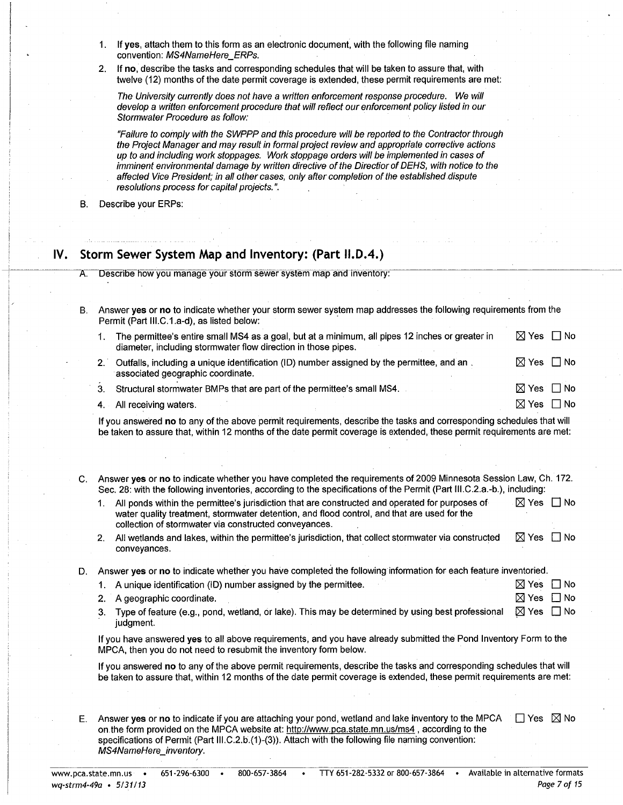- If yes, attach them to this form as an electronic document, with the following file naming  $1$ convention: MS4NameHere ERPs.
- 2. If no, describe the tasks and corresponding schedules that will be taken to assure that, with twelve (12) months of the date permit coverage is extended, these permit requirements are met:

The University currently does not have a written enforcement response procedure. We will develop a written enforcement procedure that will reflect our enforcement policy listed in our Stormwater Procedure as follow:

"Failure to comply with the SWPPP and this procedure will be reported to the Contractor through the Project Manager and may result in formal project review and appropriate corrective actions up to and including work stoppages. Work stoppage orders will be implemented in cases of imminent environmental damage by written directive of the Directior of DEHS, with notice to the affected Vice President; in all other cases, only after completion of the established dispute resolutions process for capital projects.".

Describe your ERPs: **B.** 

#### Storm Sewer System Map and Inventory: (Part II.D.4.) IV.

- Describe how you manage your storm sewer system map and inventory:
- Answer yes or no to indicate whether your storm sewer system map addresses the following requirements from the **B.** Permit (Part III.C.1.a-d), as listed below:
	- 1. The permittee's entire small MS4 as a goal, but at a minimum, all pipes 12 inches or greater in ⊠ Yes □ No diameter, including stormwater flow direction in those pipes.
	- Outfalls, including a unique identification (ID) number assigned by the permittee, and an. ⊠ Yes □ No  $2.1$ associated geographic coordinate.

 $\boxtimes$  Yes  $\;\Box$  No  $\boxtimes$  Yes  $\Box$  No

 $3<sub>1</sub>$ Structural stormwater BMPs that are part of the permittee's small MS4.

4. All receiving waters.

If you answered no to any of the above permit requirements, describe the tasks and corresponding schedules that will be taken to assure that, within 12 months of the date permit coverage is extended, these permit requirements are met:

- C. Answer yes or no to indicate whether you have completed the requirements of 2009 Minnesota Session Law, Ch. 172. Sec. 28: with the following inventories, according to the specifications of the Permit (Part III.C.2.a.-b.), including:
	- All ponds within the permittee's jurisdiction that are constructed and operated for purposes of  $1.$  $\boxtimes$  Yes  $\Box$  No water quality treatment, stormwater detention, and flood control, and that are used for the collection of stormwater via constructed conveyances.
	- 2. All wetlands and lakes, within the permittee's jurisdiction, that collect stormwater via constructed  $\boxtimes$  Yes  $\Box$  No conveyances.

Answer yes or no to indicate whether you have completed the following information for each feature inventoried. D.

| 1. A unique identification (ID) number assigned by the permittee. | IXIYes IIN |
|-------------------------------------------------------------------|------------|
| 2. A geographic coordinate.                                       | ⊠ Yes □ No |

3. Type of feature (e.g., pond, wetland, or lake). This may be determined by using best professional  $\boxtimes$  Yes  $\Box$  No judament.

If you have answered yes to all above requirements, and you have already submitted the Pond Inventory Form to the MPCA, then you do not need to resubmit the inventory form below.

If you answered no to any of the above permit requirements, describe the tasks and corresponding schedules that will be taken to assure that, within 12 months of the date permit coverage is extended, these permit requirements are met:

Answer yes or no to indicate if you are attaching your pond, wetland and lake inventory to the MPCA  $\Box$  Yes  $\boxtimes$  No Е. on the form provided on the MPCA website at: http://www.pca.state.mn.us/ms4, according to the specifications of Permit (Part III.C.2.b.(1)-(3)). Attach with the following file naming convention: MS4NameHere\_inventory.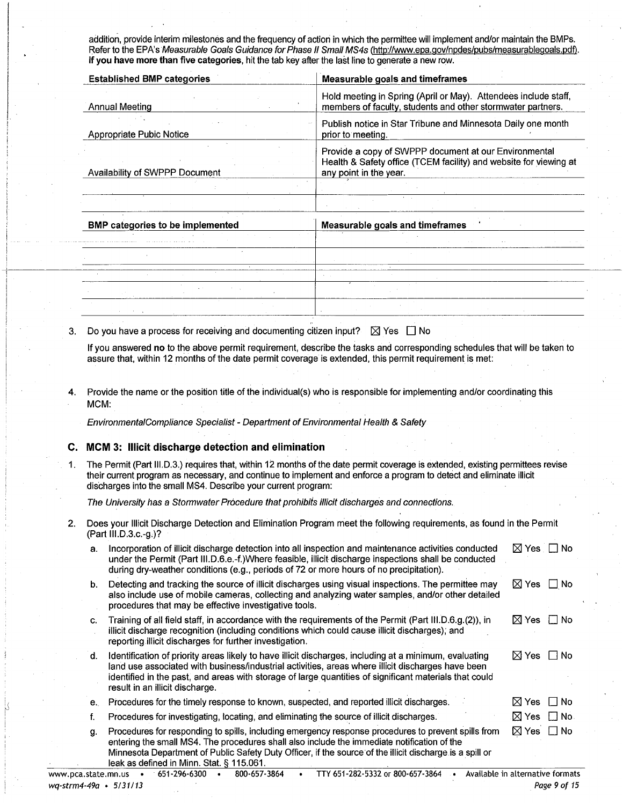addition, provide interim milestones and the frequency of action in which the permittee will implement and/or maintain the BMPs. Refer to the EPA's Measurable Goals Guidance for Phase II Small MS4s (http://www.epa.gov/npdes/pubs/measurablegoals.pdf). If you have more than five categories, hit the tab key after the last line to generate a new row.

| <b>Established BMP categories</b> | Measurable goals and timeframes                                                                                                                      |
|-----------------------------------|------------------------------------------------------------------------------------------------------------------------------------------------------|
| Annual Meeting                    | Hold meeting in Spring (April or May). Attendees include staff,<br>members of faculty, students and other stormwater partners.                       |
| Appropriate Pubic Notice          | Publish notice in Star Tribune and Minnesota Daily one month<br>prior to meeting.                                                                    |
| Availability of SWPPP Document    | Provide a copy of SWPPP document at our Environmental<br>Health & Safety office (TCEM facility) and website for viewing at<br>any point in the year. |
|                                   |                                                                                                                                                      |
|                                   |                                                                                                                                                      |

| <b>BMP categories to be implemented</b> |  |        |        | <b>Measurable goals and timeframes</b> |  |  |  |  |  |
|-----------------------------------------|--|--------|--------|----------------------------------------|--|--|--|--|--|
|                                         |  |        |        | <b>Contract Contract Contract</b>      |  |  |  |  |  |
|                                         |  |        |        |                                        |  |  |  |  |  |
|                                         |  |        | $\sim$ |                                        |  |  |  |  |  |
|                                         |  | $\sim$ |        |                                        |  |  |  |  |  |
|                                         |  |        |        |                                        |  |  |  |  |  |

Do you have a process for receiving and documenting citizen input?  $\boxtimes$  Yes  $\Box$  No  $3.$ 

If you answered no to the above permit requirement, describe the tasks and corresponding schedules that will be taken to assure that, within 12 months of the date permit coverage is extended, this permit requirement is met:

Provide the name or the position title of the individual(s) who is responsible for implementing and/or coordinating this  $\blacktriangle$ MCM:

EnvironmentalCompliance Specialist - Department of Environmental Health & Safety

## C. MCM 3: Illicit discharge detection and elimination

The Permit (Part III.D.3.) requires that, within 12 months of the date permit coverage is extended, existing permittees revise  $1.$ their current program as necessary, and continue to implement and enforce a program to detect and eliminate illicit discharges into the small MS4. Describe your current program:

The University has a Stormwater Procedure that prohibits illicit discharges and connections.

Does your Illicit Discharge Detection and Elimination Program meet the following requirements, as found in the Permit  $2.$ (Part III.D.3.c.-g.)?

| а. | Incorporation of illicit discharge detection into all inspection and maintenance activities conducted<br>under the Permit (Part III.D.6.e.-f.)Where feasible, illicit discharge inspections shall be conducted<br>during dry-weather conditions (e.g., periods of 72 or more hours of no precipitation).                                                    | $\boxtimes$ Yes $\Box$ No  |
|----|-------------------------------------------------------------------------------------------------------------------------------------------------------------------------------------------------------------------------------------------------------------------------------------------------------------------------------------------------------------|----------------------------|
| b. | Detecting and tracking the source of illicit discharges using visual inspections. The permittee may<br>also include use of mobile cameras, collecting and analyzing water samples, and/or other detailed<br>procedures that may be effective investigative tools.                                                                                           | $\boxtimes$ Yes $\Box$ No  |
| C. | Training of all field staff, in accordance with the requirements of the Permit (Part III.D.6.g.(2)), in<br>illicit discharge recognition (including conditions which could cause illicit discharges); and<br>reporting illicit discharges for further investigation.                                                                                        | $\boxtimes$ Yes $\Box$ No  |
| d. | Identification of priority areas likely to have illicit discharges, including at a minimum, evaluating<br>land use associated with business/industrial activities, areas where illicit discharges have been<br>identified in the past, and areas with storage of large quantities of significant materials that could<br>result in an illicit discharge.    | $\Box$ No<br>⊠ Yes         |
| е. | Procedures for the timely response to known, suspected, and reported illicit discharges.                                                                                                                                                                                                                                                                    | $\boxtimes$ Yes $\Box$ No  |
| f. | Procedures for investigating, locating, and eliminating the source of illicit discharges.                                                                                                                                                                                                                                                                   | $\boxtimes$ Yes $\Box$ No. |
| g. | Procedures for responding to spills, including emergency response procedures to prevent spills from<br>entering the small MS4. The procedures shall also include the immediate notification of the<br>Minnesota Department of Public Safety Duty Officer, if the source of the illicit discharge is a spill or<br>leak as defined in Minn. Stat. § 115.061. | $\boxtimes$ Yes $\Box$ No  |

| www.pca.state.mn.us •  | 651-296-6300 | 800-657-3864 | TTY 651-282-5332 or 800-657-3864 | Available in alternative formats |
|------------------------|--------------|--------------|----------------------------------|----------------------------------|
| wq-strm4-49a • 5/31/13 |              |              |                                  | Page 9 of 15                     |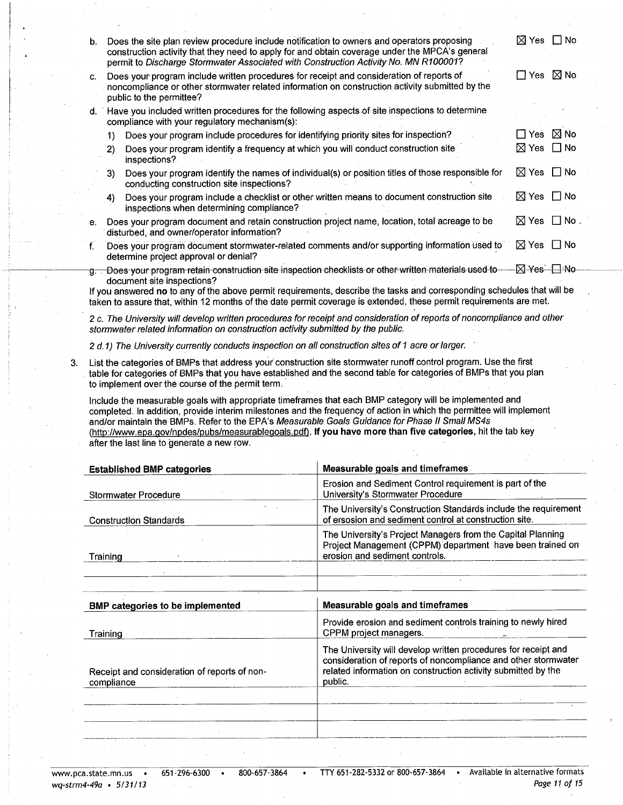| b. | Does the site plan review procedure include notification to owners and operators proposing<br>construction activity that they need to apply for and obtain coverage under the MPCA's general<br>permit to Discharge Stormwater Associated with Construction Activity No. MN R100001? | ⊠ Yes           | $\Box$ No      |
|----|--------------------------------------------------------------------------------------------------------------------------------------------------------------------------------------------------------------------------------------------------------------------------------------|-----------------|----------------|
| c. | Does your program include written procedures for receipt and consideration of reports of<br>noncompliance or other stormwater related information on construction activity submitted by the<br>public to the permittee?                                                              | □ Yes           | $\boxtimes$ No |
| d. | Have you included written procedures for the following aspects of site inspections to determine<br>compliance with your regulatory mechanism(s):                                                                                                                                     |                 |                |
|    | Does your program include procedures for identifying priority sites for inspection?<br>1)                                                                                                                                                                                            | $\Box$ Yes      | $\boxtimes$ No |
|    | Does your program identify a frequency at which you will conduct construction site<br>2)<br>inspections?                                                                                                                                                                             | ⊠ Yes           | $\Box$ No      |
|    | Does your program identify the names of individual(s) or position titles of those responsible for<br>3)<br>conducting construction site inspections?                                                                                                                                 | $\boxtimes$ Yes | ∏ No           |
|    | Does your program include a checklist or other written means to document construction site<br>4)<br>inspections when determining compliance?                                                                                                                                         | <b>N</b> Yes    | $\Box$ No      |
| е. | Does your program document and retain construction project name, location, total acreage to be<br>disturbed, and owner/operator information?                                                                                                                                         | $\boxtimes$ Yes | $\Box$ No .    |
| f. | Does your program document stormwater-related comments and/or supporting information used to<br>determine project approval or denial?                                                                                                                                                | $\boxtimes$ Yes | $\Box$ No      |
|    | g. Does your program retain construction site inspection checklists or other written materials used to-<br>document site inspections?                                                                                                                                                |                 | ⊠ Yes—⊟ No—    |
|    | If you answered no to any of the above permit requirements, describe the tasks and corresponding schedules that will be<br>taken to assure that, within 12 months of the date permit coverage is extended, these permit requirements are met.                                        |                 |                |

2 c. The University will develop written procedures for receipt and consideration of reports of noncompliance and other stormwater related information on construction activity submitted by the public.

2 d.1) The University currently conducts inspection on all construction sites of 1 acre or larger.

List the categories of BMPs that address your construction site stormwater runoff control program. Use the first 3. table for categories of BMPs that you have established and the second table for categories of BMPs that you plan to implement over the course of the permit term.

Include the measurable goals with appropriate timeframes that each BMP category will be implemented and completed. In addition, provide interim milestones and the frequency of action in which the permittee will implement and/or maintain the BMPs. Refer to the EPA's Measurable Goals Guidance for Phase II Small MS4s (http://www.epa.gov/npdes/pubs/measurablegoals.pdf). If you have more than five categories, hit the tab key after the last line to generate a new row.

| <b>Established BMP categories</b>                          | <b>Measurable goals and timeframes</b>                                                                                                                                                                       |
|------------------------------------------------------------|--------------------------------------------------------------------------------------------------------------------------------------------------------------------------------------------------------------|
| <b>Stormwater Procedure</b>                                | Erosion and Sediment Control requirement is part of the<br>University's Stormwater Procedure                                                                                                                 |
| <b>Construction Standards</b>                              | The University's Construction Standards include the requirement<br>of ersosion and sediment control at construction site.                                                                                    |
| Training                                                   | The University's Project Managers from the Capital Planning<br>Project Management (CPPM) department have been trained on<br>erosion and sediment controls.                                                   |
|                                                            |                                                                                                                                                                                                              |
|                                                            |                                                                                                                                                                                                              |
| <b>BMP categories to be implemented</b>                    | <b>Measurable goals and timeframes</b>                                                                                                                                                                       |
| Training                                                   | Provide erosion and sediment controls training to newly hired<br>CPPM project managers.                                                                                                                      |
| Receipt and consideration of reports of non-<br>compliance | The University will develop written procedures for receipt and<br>consideration of reports of noncompliance and other stormwater<br>related information on construction activity submitted by the<br>public. |
|                                                            |                                                                                                                                                                                                              |
|                                                            |                                                                                                                                                                                                              |
|                                                            |                                                                                                                                                                                                              |

800-657-3864  $\bullet$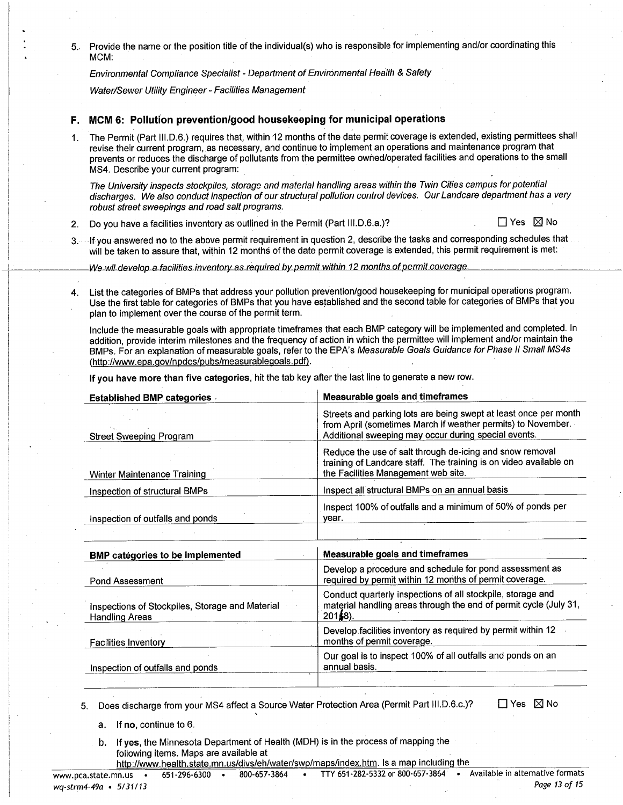Provide the name or the position title of the individual(s) who is responsible for implementing and/or coordinating this  $5.$ MCM:

Environmental Compliance Specialist - Department of Environmental Health & Safety

Water/Sewer Utility Engineer - Facilities Management

## F. MCM 6: Pollution prevention/good housekeeping for municipal operations

The Permit (Part III.D.6.) requires that, within 12 months of the date permit coverage is extended, existing permittees shall 1. revise their current program, as necessary, and continue to implement an operations and maintenance program that prevents or reduces the discharge of pollutants from the permittee owned/operated facilities and operations to the small MS4. Describe your current program:

The University inspects stockpiles, storage and material handling areas within the Twin Cities campus for potential discharges. We also conduct inspection of our structural pollution control devices. Our Landcare department has a very robust street sweepings and road salt programs.

Do you have a facilities inventory as outlined in the Permit (Part III.D.6.a.)?  $2.$ 

 $\Box$  Yes  $\boxtimes$  No

3. If you answered no to the above permit requirement in question 2, describe the tasks and corresponding schedules that will be taken to assure that, within 12 months of the date permit coverage is extended, this permit requirement is met:

We wil develop a facilities inventory as required by permit within 12 months of permit coverage.

List the categories of BMPs that address your pollution prevention/good housekeeping for municipal operations program. 4. Use the first table for categories of BMPs that you have established and the second table for categories of BMPs that you plan to implement over the course of the permit term.

include the measurable goals with appropriate timeframes that each BMP category will be implemented and completed. In addition, provide interim milestones and the frequency of action in which the permittee will implement and/or maintain the BMPs. For an explanation of measurable goals, refer to the EPA's Measurable Goals Guidance for Phase II Small MS4s (http://www.epa.gov/npdes/pubs/measurablegoals.pdf).

If you have more than five categories, hit the tab key after the last line to generate a new row.

| <b>Established BMP categories</b>                                        | <b>Measurable goals and timeframes</b>                                                                                                                                                   |
|--------------------------------------------------------------------------|------------------------------------------------------------------------------------------------------------------------------------------------------------------------------------------|
| <b>Street Sweeping Program</b>                                           | Streets and parking lots are being swept at least once per month<br>from April (sometimes March if weather permits) to November.<br>Additional sweeping may occur during special events. |
| Winter Maintenance Training                                              | Reduce the use of salt through de-icing and snow removal<br>training of Landcare staff. The training is on video available on<br>the Facilities Management web site.                     |
| Inspection of structural BMPs                                            | Inspect all structural BMPs on an annual basis                                                                                                                                           |
| Inspection of outfalls and ponds                                         | Inspect 100% of outfalls and a minimum of 50% of ponds per<br>vear.                                                                                                                      |
|                                                                          |                                                                                                                                                                                          |
| <b>BMP categories to be implemented</b>                                  | <b>Measurable goals and timeframes</b>                                                                                                                                                   |
| <b>Pond Assessment</b>                                                   | Develop a procedure and schedule for pond assessment as<br>required by permit within 12 months of permit coverage.                                                                       |
| Inspections of Stockpiles, Storage and Material<br><b>Handling Areas</b> | Conduct quarterly inspections of all stockpile, storage and<br>material handling areas through the end of permit cycle (July 31,<br>$201(8)$ .                                           |
| <b>Facilities Inventory</b>                                              | Develop facilities inventory as required by permit within 12<br>months of permit coverage.                                                                                               |
| Inspection of outfalls and ponds                                         | Our goal is to inspect 100% of all outfalls and ponds on an<br>annual basis.                                                                                                             |
|                                                                          |                                                                                                                                                                                          |

Does discharge from your MS4 affect a Source Water Protection Area (Permit Part III.D.6.c.)?  $5<sub>1</sub>$ 

□ Yes ⊠ No

- a. If no, continue to 6.
- b. If yes, the Minnesota Department of Health (MDH) is in the process of mapping the following items. Maps are available at

http://www.health.state.mn.us/divs/eh/water/swp/maps/index.htm. Is a map including the